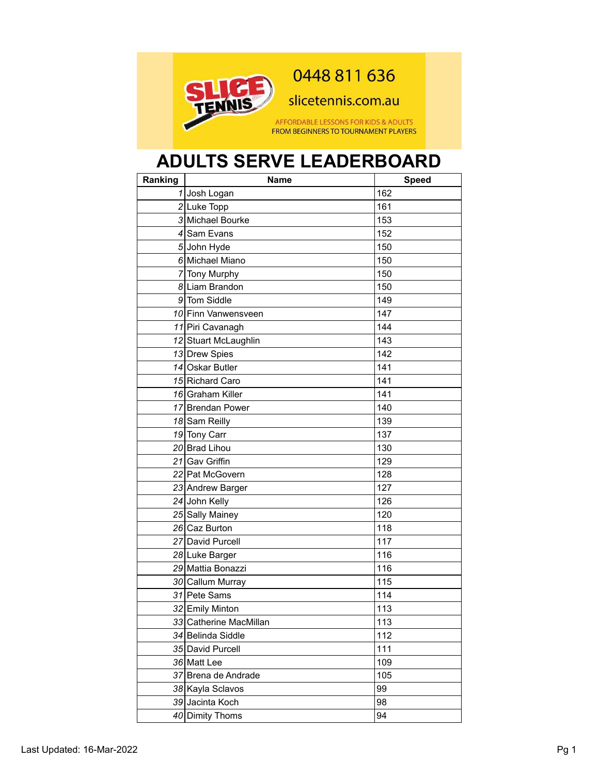

## 0448 811 636

slicetennis.com.au

AFFORDABLE LESSONS FOR KIDS & ADULTS FROM BEGINNERS TO TOURNAMENT PLAYERS

## **ADULTS SERVE LEADERBOARD**

| Ranking | <b>Name</b>            | <b>Speed</b> |
|---------|------------------------|--------------|
|         | 1 Josh Logan           | 162          |
|         | 2 Luke Topp            | 161          |
|         | 3 Michael Bourke       | 153          |
|         | 4 Sam Evans            | 152          |
|         | 5 John Hyde            | 150          |
|         | 6 Michael Miano        | 150          |
|         | 7 Tony Murphy          | 150          |
|         | 8 Liam Brandon         | 150          |
|         | 9 Tom Siddle           | 149          |
|         | 10 Finn Vanwensveen    | 147          |
|         | 11 Piri Cavanagh       | 144          |
|         | 12 Stuart McLaughlin   | 143          |
|         | 13 Drew Spies          | 142          |
|         | 14 Oskar Butler        | 141          |
|         | 15 Richard Caro        | 141          |
|         | 16 Graham Killer       | 141          |
|         | 17 Brendan Power       | 140          |
|         | 18 Sam Reilly          | 139          |
|         | 19 Tony Carr           | 137          |
|         | 20 Brad Lihou          | 130          |
|         | 21 Gav Griffin         | 129          |
|         | 22 Pat McGovern        | 128          |
|         | 23 Andrew Barger       | 127          |
|         | 24 John Kelly          | 126          |
|         | 25 Sally Mainey        | 120          |
|         | 26 Caz Burton          | 118          |
|         | 27 David Purcell       | 117          |
|         | 28 Luke Barger         | 116          |
|         | 29 Mattia Bonazzi      | 116          |
|         | 30 Callum Murray       | 115          |
|         | 31 Pete Sams           | 114          |
|         | 32 Emily Minton        | 113          |
|         | 33 Catherine MacMillan | 113          |
|         | 34 Belinda Siddle      | 112          |
|         | 35 David Purcell       | 111          |
|         | 36 Matt Lee            | 109          |
|         | 37 Brena de Andrade    | 105          |
|         | 38 Kayla Sclavos       | 99           |
|         | 39 Jacinta Koch        | 98           |
|         | 40 Dimity Thoms        | 94           |